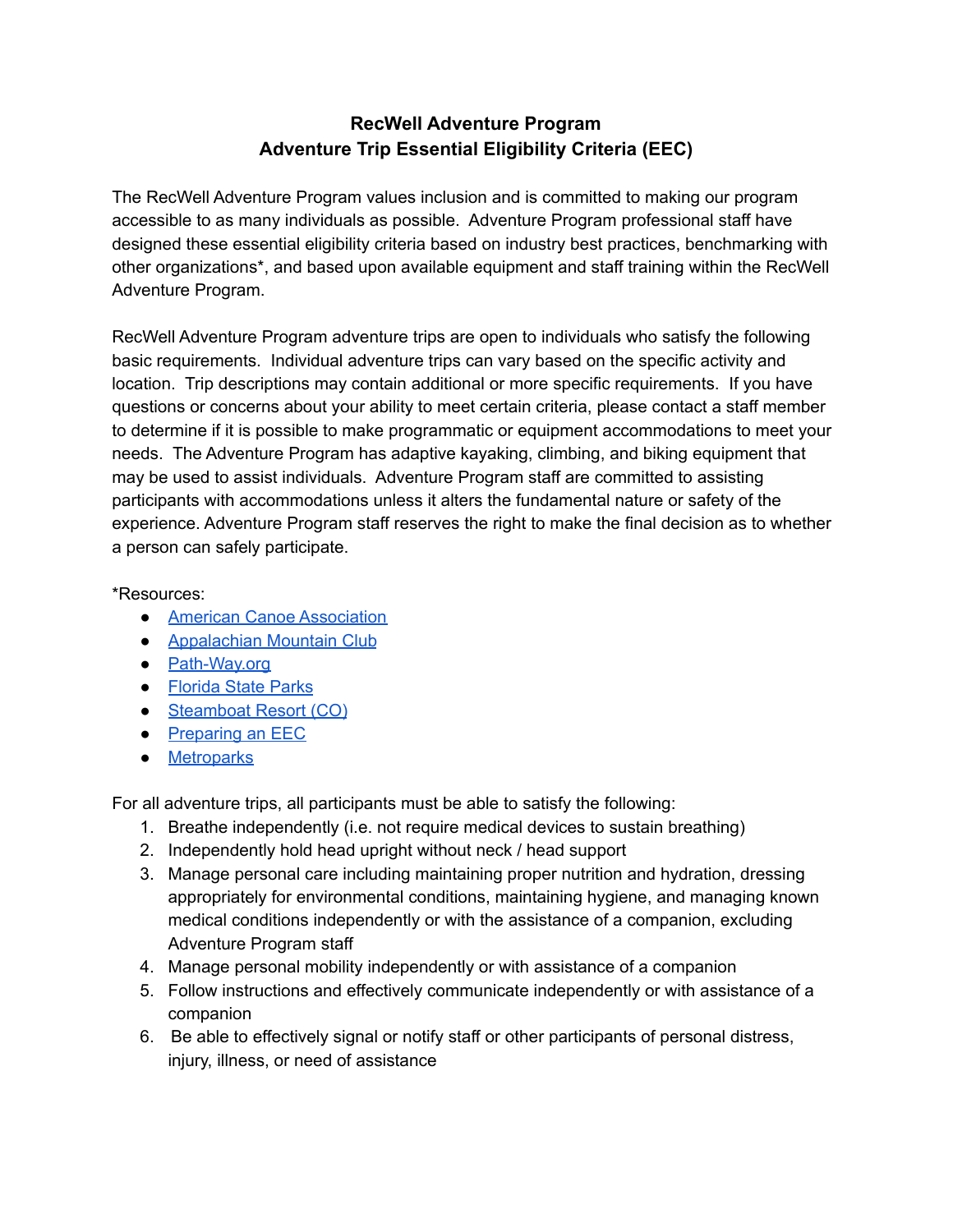## **RecWell Adventure Program Adventure Trip Essential Eligibility Criteria (EEC)**

The RecWell Adventure Program values inclusion and is committed to making our program accessible to as many individuals as possible. Adventure Program professional staff have designed these essential eligibility criteria based on industry best practices, benchmarking with other organizations\*, and based upon available equipment and staff training within the RecWell Adventure Program.

RecWell Adventure Program adventure trips are open to individuals who satisfy the following basic requirements. Individual adventure trips can vary based on the specific activity and location. Trip descriptions may contain additional or more specific requirements. If you have questions or concerns about your ability to meet certain criteria, please contact a staff member to determine if it is possible to make programmatic or equipment accommodations to meet your needs. The Adventure Program has adaptive kayaking, climbing, and biking equipment that may be used to assist individuals. Adventure Program staff are committed to assisting participants with accommodations unless it alters the fundamental nature or safety of the experience. Adventure Program staff reserves the right to make the final decision as to whether a person can safely participate.

\*Resources:

- American Canoe [Association](http://www.americancanoe.org/?page=EEC)
- [Appalachian](http://www.outdoors.org/pdf/upload/AMC_EEC.pdf) Mountain Club
- [Path-Way.org](https://www.path-way.org/uploads/4/2/3/9/42398755/essential_eligibility_criteria_for_program_participants.pdf)
- [Florida](https://www.floridastateparks.org/sites/default/files/Division%20of%20Recreation%20and%20Parks/documents/EEC%20Bike%20Tours.pdf) State Parks
- [Steamboat](https://www.steamboat.com/the-mountain/safety-and-responsibility/policies/essential-eligibility-criteria/bike-school) Resort (CO)
- [Preparing](http://atfiles.org/files/pdf/EssentialEligibilitySteps.pdf) an EEC
- [Metroparks](https://clevelandmetroparks.com/parks/programs-events/2017/hinckley-reservation/try-it-activities-rock-climbing)

For all adventure trips, all participants must be able to satisfy the following:

- 1. Breathe independently (i.e. not require medical devices to sustain breathing)
- 2. Independently hold head upright without neck / head support
- 3. Manage personal care including maintaining proper nutrition and hydration, dressing appropriately for environmental conditions, maintaining hygiene, and managing known medical conditions independently or with the assistance of a companion, excluding Adventure Program staff
- 4. Manage personal mobility independently or with assistance of a companion
- 5. Follow instructions and effectively communicate independently or with assistance of a companion
- 6. Be able to effectively signal or notify staff or other participants of personal distress, injury, illness, or need of assistance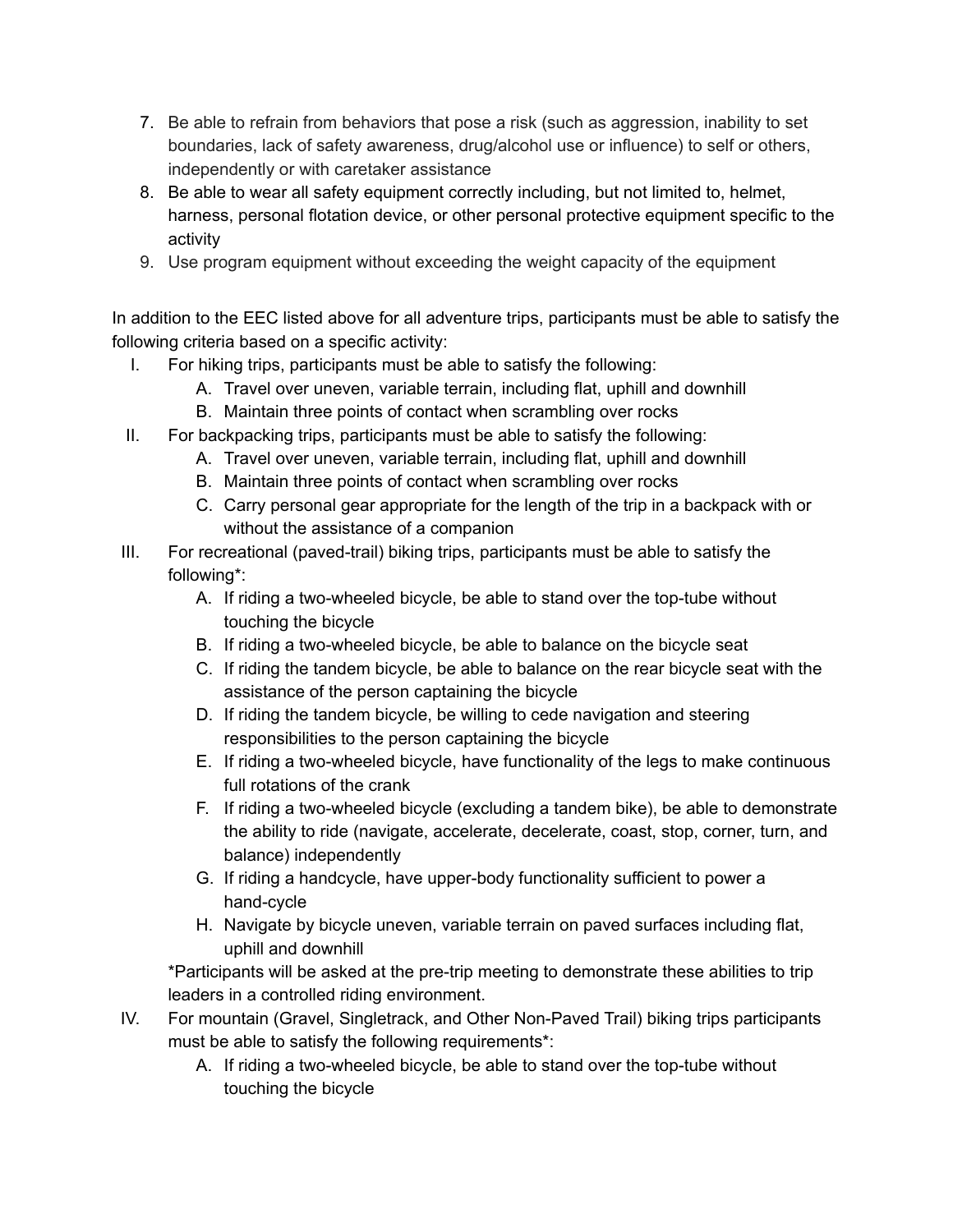- 7. Be able to refrain from behaviors that pose a risk (such as aggression, inability to set boundaries, lack of safety awareness, drug/alcohol use or influence) to self or others, independently or with caretaker assistance
- 8. Be able to wear all safety equipment correctly including, but not limited to, helmet, harness, personal flotation device, or other personal protective equipment specific to the activity
- 9. Use program equipment without exceeding the weight capacity of the equipment

In addition to the EEC listed above for all adventure trips, participants must be able to satisfy the following criteria based on a specific activity:

- I. For hiking trips, participants must be able to satisfy the following:
	- A. Travel over uneven, variable terrain, including flat, uphill and downhill
	- B. Maintain three points of contact when scrambling over rocks
- II. For backpacking trips, participants must be able to satisfy the following:
	- A. Travel over uneven, variable terrain, including flat, uphill and downhill
	- B. Maintain three points of contact when scrambling over rocks
	- C. Carry personal gear appropriate for the length of the trip in a backpack with or without the assistance of a companion
- III. For recreational (paved-trail) biking trips, participants must be able to satisfy the following\*:
	- A. If riding a two-wheeled bicycle, be able to stand over the top-tube without touching the bicycle
	- B. If riding a two-wheeled bicycle, be able to balance on the bicycle seat
	- C. If riding the tandem bicycle, be able to balance on the rear bicycle seat with the assistance of the person captaining the bicycle
	- D. If riding the tandem bicycle, be willing to cede navigation and steering responsibilities to the person captaining the bicycle
	- E. If riding a two-wheeled bicycle, have functionality of the legs to make continuous full rotations of the crank
	- F. If riding a two-wheeled bicycle (excluding a tandem bike), be able to demonstrate the ability to ride (navigate, accelerate, decelerate, coast, stop, corner, turn, and balance) independently
	- G. If riding a handcycle, have upper-body functionality sufficient to power a hand-cycle
	- H. Navigate by bicycle uneven, variable terrain on paved surfaces including flat, uphill and downhill

\*Participants will be asked at the pre-trip meeting to demonstrate these abilities to trip leaders in a controlled riding environment.

- IV. For mountain (Gravel, Singletrack, and Other Non-Paved Trail) biking trips participants must be able to satisfy the following requirements\*:
	- A. If riding a two-wheeled bicycle, be able to stand over the top-tube without touching the bicycle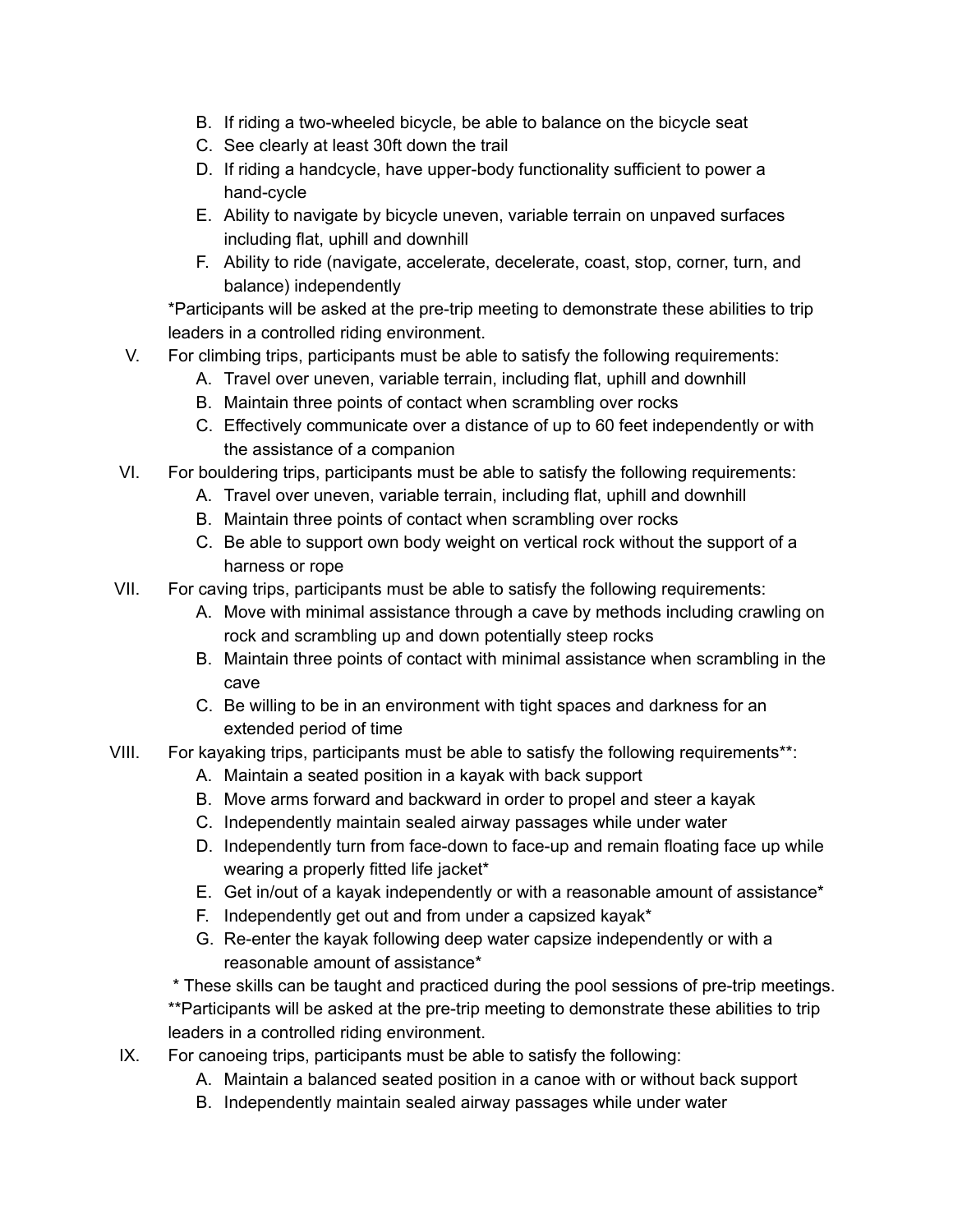- B. If riding a two-wheeled bicycle, be able to balance on the bicycle seat
- C. See clearly at least 30ft down the trail
- D. If riding a handcycle, have upper-body functionality sufficient to power a hand-cycle
- E. Ability to navigate by bicycle uneven, variable terrain on unpaved surfaces including flat, uphill and downhill
- F. Ability to ride (navigate, accelerate, decelerate, coast, stop, corner, turn, and balance) independently

\*Participants will be asked at the pre-trip meeting to demonstrate these abilities to trip leaders in a controlled riding environment.

- V. For climbing trips, participants must be able to satisfy the following requirements:
	- A. Travel over uneven, variable terrain, including flat, uphill and downhill
		- B. Maintain three points of contact when scrambling over rocks
		- C. Effectively communicate over a distance of up to 60 feet independently or with the assistance of a companion
- VI. For bouldering trips, participants must be able to satisfy the following requirements:
	- A. Travel over uneven, variable terrain, including flat, uphill and downhill
	- B. Maintain three points of contact when scrambling over rocks
	- C. Be able to support own body weight on vertical rock without the support of a harness or rope
- VII. For caving trips, participants must be able to satisfy the following requirements:
	- A. Move with minimal assistance through a cave by methods including crawling on rock and scrambling up and down potentially steep rocks
	- B. Maintain three points of contact with minimal assistance when scrambling in the cave
	- C. Be willing to be in an environment with tight spaces and darkness for an extended period of time
- VIII. For kayaking trips, participants must be able to satisfy the following requirements\*\*:
	- A. Maintain a seated position in a kayak with back support
	- B. Move arms forward and backward in order to propel and steer a kayak
	- C. Independently maintain sealed airway passages while under water
	- D. Independently turn from face-down to face-up and remain floating face up while wearing a properly fitted life jacket\*
	- E. Get in/out of a kayak independently or with a reasonable amount of assistance\*
	- F. Independently get out and from under a capsized kayak\*
	- G. Re-enter the kayak following deep water capsize independently or with a reasonable amount of assistance\*

\* These skills can be taught and practiced during the pool sessions of pre-trip meetings. \*\*Participants will be asked at the pre-trip meeting to demonstrate these abilities to trip leaders in a controlled riding environment.

- IX. For canoeing trips, participants must be able to satisfy the following:
	- A. Maintain a balanced seated position in a canoe with or without back support
	- B. Independently maintain sealed airway passages while under water